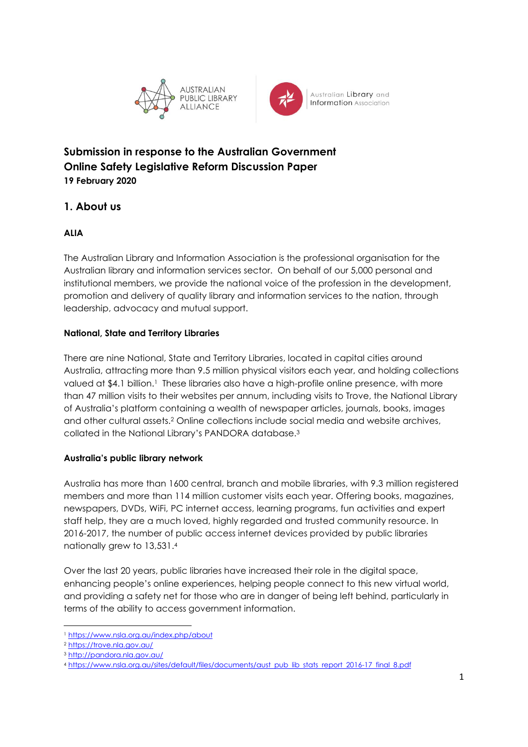



**Submission in response to the Australian Government Online Safety Legislative Reform Discussion Paper 19 February 2020**

## **1. About us**

## **ALIA**

The Australian Library and Information Association is the professional organisation for the Australian library and information services sector. On behalf of our 5,000 personal and institutional members, we provide the national voice of the profession in the development, promotion and delivery of quality library and information services to the nation, through leadership, advocacy and mutual support.

## **National, State and Territory Libraries**

There are nine National, State and Territory Libraries, located in capital cities around Australia, attracting more than 9.5 million physical visitors each year, and holding collections valued at \$4.1 billion.<sup>1</sup> These libraries also have a high-profile online presence, with more than 47 million visits to their websites per annum, including visits to Trove, the National Library of Australia's platform containing a wealth of newspaper articles, journals, books, images and other cultural assets. <sup>2</sup> Online collections include social media and website archives, collated in the National Library's PANDORA database. 3

## **Australia's public library network**

Australia has more than 1600 central, branch and mobile libraries, with 9.3 million registered members and more than 114 million customer visits each year. Offering books, magazines, newspapers, DVDs, WiFi, PC internet access, learning programs, fun activities and expert staff help, they are a much loved, highly regarded and trusted community resource. In 2016-2017, the number of public access internet devices provided by public libraries nationally grew to 13,531. 4

Over the last 20 years, public libraries have increased their role in the digital space, enhancing people's online experiences, helping people connect to this new virtual world, and providing a safety net for those who are in danger of being left behind, particularly in terms of the ability to access government information.

<sup>1</sup> https://www.nsla.org.au/index.php/about

<sup>2</sup> https://trove.nla.gov.au/

<sup>3</sup> http://pandora.nla.gov.au/

<sup>4</sup> https://www.nsla.org.au/sites/default/files/documents/aust pub lib stats report 2016-17 final 8.pdf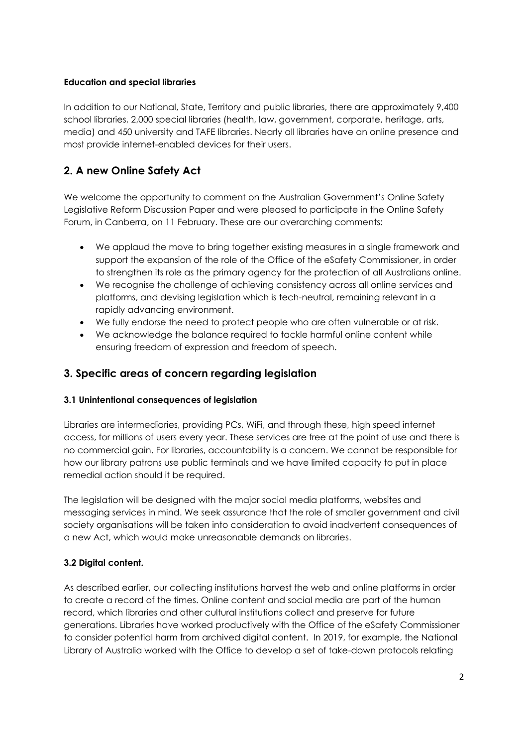#### **Education and special libraries**

In addition to our National, State, Territory and public libraries, there are approximately 9,400 school libraries, 2,000 special libraries (health, law, government, corporate, heritage, arts, media) and 450 university and TAFE libraries. Nearly all libraries have an online presence and most provide internet-enabled devices for their users.

# **2. A new Online Safety Act**

We welcome the opportunity to comment on the Australian Government's Online Safety Legislative Reform Discussion Paper and were pleased to participate in the Online Safety Forum, in Canberra, on 11 February. These are our overarching comments:

- We applaud the move to bring together existing measures in a single framework and support the expansion of the role of the Office of the eSafety Commissioner, in order to strengthen its role as the primary agency for the protection of all Australians online.
- We recognise the challenge of achieving consistency across all online services and platforms, and devising legislation which is tech-neutral, remaining relevant in a rapidly advancing environment.
- We fully endorse the need to protect people who are often vulnerable or at risk.
- We acknowledge the balance required to tackle harmful online content while ensuring freedom of expression and freedom of speech.

## **3. Specific areas of concern regarding legislation**

#### **3.1 Unintentional consequences of legislation**

Libraries are intermediaries, providing PCs, WiFi, and through these, high speed internet access, for millions of users every year. These services are free at the point of use and there is no commercial gain. For libraries, accountability is a concern. We cannot be responsible for how our library patrons use public terminals and we have limited capacity to put in place remedial action should it be required.

The legislation will be designed with the major social media platforms, websites and messaging services in mind. We seek assurance that the role of smaller government and civil society organisations will be taken into consideration to avoid inadvertent consequences of a new Act, which would make unreasonable demands on libraries.

#### **3.2 Digital content.**

As described earlier, our collecting institutions harvest the web and online platforms in order to create a record of the times. Online content and social media are part of the human record, which libraries and other cultural institutions collect and preserve for future generations. Libraries have worked productively with the Office of the eSafety Commissioner to consider potential harm from archived digital content. In 2019, for example, the National Library of Australia worked with the Office to develop a set of take-down protocols relating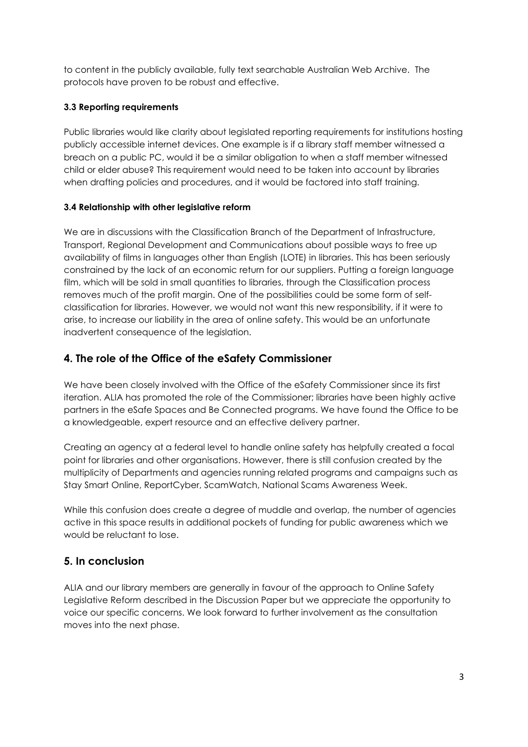to content in the publicly available, fully text searchable Australian Web Archive. The protocols have proven to be robust and effective.

## **3.3 Reporting requirements**

Public libraries would like clarity about legislated reporting requirements for institutions hosting publicly accessible internet devices. One example is if a library staff member witnessed a breach on a public PC, would it be a similar obligation to when a staff member witnessed child or elder abuse? This requirement would need to be taken into account by libraries when drafting policies and procedures, and it would be factored into staff training.

#### **3.4 Relationship with other legislative reform**

We are in discussions with the Classification Branch of the Department of Infrastructure, Transport, Regional Development and Communications about possible ways to free up availability of films in languages other than English (LOTE) in libraries. This has been seriously constrained by the lack of an economic return for our suppliers. Putting a foreign language film, which will be sold in small quantities to libraries, through the Classification process removes much of the profit margin. One of the possibilities could be some form of selfclassification for libraries. However, we would not want this new responsibility, if it were to arise, to increase our liability in the area of online safety. This would be an unfortunate inadvertent consequence of the legislation.

## **4. The role of the Office of the eSafety Commissioner**

We have been closely involved with the Office of the eSafety Commissioner since its first iteration. ALIA has promoted the role of the Commissioner; libraries have been highly active partners in the eSafe Spaces and Be Connected programs. We have found the Office to be a knowledgeable, expert resource and an effective delivery partner.

Creating an agency at a federal level to handle online safety has helpfully created a focal point for libraries and other organisations. However, there is still confusion created by the multiplicity of Departments and agencies running related programs and campaigns such as Stay Smart Online, ReportCyber, ScamWatch, National Scams Awareness Week.

While this confusion does create a degree of muddle and overlap, the number of agencies active in this space results in additional pockets of funding for public awareness which we would be reluctant to lose.

## **5. In conclusion**

ALIA and our library members are generally in favour of the approach to Online Safety Legislative Reform described in the Discussion Paper but we appreciate the opportunity to voice our specific concerns. We look forward to further involvement as the consultation moves into the next phase.